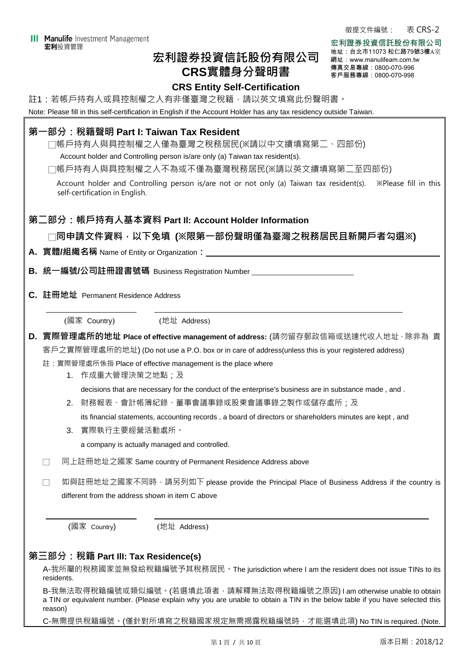## **宏利證券投資信託股份有限公司 CRS實體身分聲明書**

徵提文件編號: 表 CRS-2

宏利證券投資信託股份有限公司 地址:台北市11073 松仁路79號3樓A室 網址:www.manulifeam.com.tw 傳真交易專線:0800-070-996 客戶服務專線:0800-070-998

## **CRS Entity Self-Certification**

註1:若帳戶持有人或具控制權之人有非僅臺灣之稅籍,請以英文填寫此份聲明書。

Note: Please fill in this self-certification in English if the Account Holder has any tax residency outside Taiwan.

# **第一部分:稅籍聲明 Part I: Taiwan Tax Resident**  □帳戶持有人與具控制權之人僅為臺灣之稅務居民(※請以中文續填寫第二、四部份) Account holder and Controlling person is/are only (a) Taiwan tax resident(s). □帳戶持有人與具控制權之人不為或不僅為臺灣稅務居民(※請以英文續填寫第二至四部份) Account holder and Controlling person is/are not or not only (a) Taiwan tax resident(s). ※Please fill in this self-certification in English. **第二部分:帳戶持有人基本資料 Part Il: Account Holder Information**  □**同申請文件資料,以下免填 (※限第一部份聲明僅為臺灣之稅務居民且新開戶者勾選※) A. 實體/組織名稱** Name of Entity or Organization**: B. 統一編號/公司註冊證書號碼** Business Registration Number \_\_\_\_\_\_\_\_\_\_\_\_\_\_\_\_\_\_\_\_\_\_\_\_\_\_\_\_\_ **C. 註冊地址** Permanent Residence Address (國家 Country) (地址 Address) **D. 實際管理處所的地址 Place of effective management of address:** (請勿留存郵政信箱或送達代收人地址,除非為 貴 客戶之實際管理處所的地址) (Do not use a P.O. box or in care of address(unless this is your registered address) 註:實際管理處所係指 Place of effective management is the place where 1. 作成重大管理決策之地點;及 decisions that are necessary for the conduct of the enterprise's business are in substance made , and . 2. 財務報表、會計帳簿紀錄、董事會議事錄或股東會議事錄之製作或儲存處所;及 its financial statements, accounting records , a board of directors or shareholders minutes are kept , and 3. 實際執行主要經營活動處所。 a company is actually managed and controlled. □ 同上註冊地址之國家 Same country of Permanent Residence Address above □ 如與註冊地址之國家不同時,請另列如下 please provide the Principal Place of Business Address if the country is different from the address shown in item C above (國家 Country) (地址 Address) **第三部分:稅籍 Part IlI: Tax Residence(s)**  A-我所屬的稅務國家並無發給稅籍編號予其稅務居民。The jurisdiction where I am the resident does not issue TINs to its residents. B-我無法取得稅籍編號或類似編號。(若選填此項者,請解釋無法取得稅籍編號之原因) I am otherwise unable to obtain a TIN or equivalent number. (Please explain why you are unable to obtain a TIN in the below table if you have selected this reason)

C-無需提供稅籍編號。(僅針對所填寫之稅籍國家規定無需揭露稅籍編號時,才能選填此項) No TIN is required. (Note.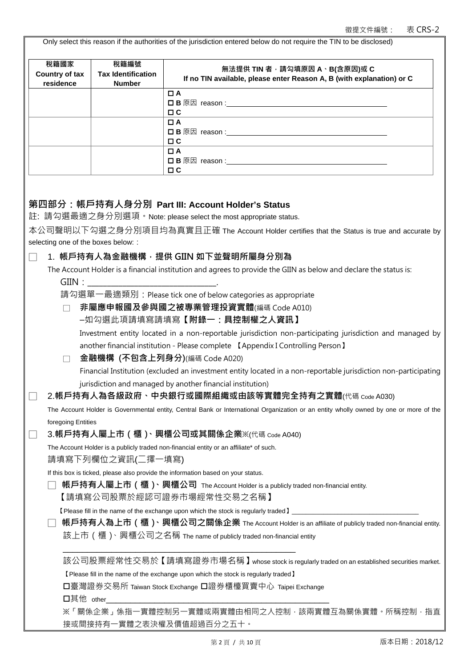Only select this reason if the authorities of the jurisdiction entered below do not require the TIN to be disclosed)

| 稅籍國家<br>Country of tax              | 稅籍編號<br><b>Tax Identification</b><br><b>Number</b> | 無法提供 TIN 者,請勾填原因 A、B(含原因)或 C<br>If no TIN available, please enter Reason A, B (with explanation) or C                                 |
|-------------------------------------|----------------------------------------------------|---------------------------------------------------------------------------------------------------------------------------------------|
| residence                           |                                                    | $\Box$ A                                                                                                                              |
|                                     |                                                    |                                                                                                                                       |
|                                     |                                                    | $\Box$ $\Box$<br>$\Box$ A                                                                                                             |
|                                     |                                                    |                                                                                                                                       |
|                                     |                                                    | $\Box$ $\Box$<br>$\Box$ A                                                                                                             |
|                                     |                                                    |                                                                                                                                       |
|                                     |                                                    | $\Box$ $\Box$                                                                                                                         |
|                                     |                                                    |                                                                                                                                       |
|                                     |                                                    | 第四部分:帳戶持有人身分別  Part III: Account Holder's Status                                                                                      |
|                                     |                                                    | 註: 請勾選最適之身分別選項。Note: please select the most appropriate status.                                                                       |
|                                     |                                                    | 本公司聲明以下勾選之身分別項目均為真實且正確 The Account Holder certifies that the Status is true and accurate by                                           |
| selecting one of the boxes below: : |                                                    |                                                                                                                                       |
|                                     |                                                    | 1. 帳戶持有人為金融機構,提供 GIIN 如下並聲明所屬身分別為                                                                                                     |
| GIIN:                               |                                                    | The Account Holder is a financial institution and agrees to provide the GIIN as below and declare the status is:                      |
|                                     |                                                    | 請勾選單一最適類別: Please tick one of below categories as appropriate                                                                         |
|                                     |                                                    | 非屬應申報國及參與國之被專業管理投資實體(編碼 Code A010)                                                                                                    |
|                                     |                                                    | -如勾選此項請填寫請填寫【附錄一:具控制權之人資訊】                                                                                                            |
|                                     |                                                    | Investment entity located in a non-reportable jurisdiction non-participating jurisdiction and managed by                              |
|                                     |                                                    | another financial institution - Please complete [ Appendix I Controlling Person ]                                                     |
|                                     |                                                    | 金融機構 (不包含上列身分)(編碼 Code A020)                                                                                                          |
|                                     |                                                    | Financial Institution (excluded an investment entity located in a non-reportable jurisdiction non-participating                       |
|                                     |                                                    | jurisdiction and managed by another financial institution)                                                                            |
|                                     |                                                    | 2.帳戶持有人為各級政府、中央銀行或國際組織或由該等實體完全持有之實體(代碼 Code A030)                                                                                     |
|                                     |                                                    | The Account Holder is Governmental entity, Central Bank or International Organization or an entity wholly owned by one or more of the |
| foregoing Entities                  |                                                    |                                                                                                                                       |
|                                     |                                                    | 3.帳戶持有人屬上市 (櫃 )、興櫃公司或其關係企業※(代碼 code A040)                                                                                             |
|                                     |                                                    | The Account Holder is a publicly traded non-financial entity or an affiliate* of such.                                                |
|                                     | 請填寫下列欄位之資訊(二擇一填寫)                                  |                                                                                                                                       |
|                                     |                                                    | If this box is ticked, please also provide the information based on your status.                                                      |
|                                     |                                                    | 帳戶持有人屬上市(櫃)、興櫃公司 The Account Holder is a publicly traded non-financial entity.                                                        |
|                                     |                                                    | 【請填寫公司股票於經認可證券市場經常性交易之名稱】                                                                                                             |
|                                     |                                                    |                                                                                                                                       |
|                                     |                                                    | 帳戶持有人為上市(櫃)、興櫃公司之關係企業 The Account Holder is an affiliate of publicly traded non-financial entity.                                     |
|                                     |                                                    | 該上市(櫃) <sup>、</sup> 興櫃公司之名稱 The name of publicly traded non-financial entity                                                          |
|                                     |                                                    | 該公司股票經常性交易於【請填寫證券市場名稱】whose stock is regularly traded on an established securities market.                                            |
|                                     |                                                    | [ Please fill in the name of the exchange upon which the stock is regularly traded ]                                                  |
|                                     |                                                    | □臺灣證券交易所 Taiwan Stock Exchange 口證券櫃檯買賣中心 Taipei Exchange                                                                              |
| 口其他 other                           |                                                    |                                                                                                                                       |
|                                     |                                                    | ※「關係企業」係指一實體控制另一實體或兩實體由相同之人控制‧該兩實體互為關係實體。所稱控制‧指直                                                                                      |
|                                     |                                                    | 接或間接持有一實體之表決權及價值超過百分之五十。                                                                                                              |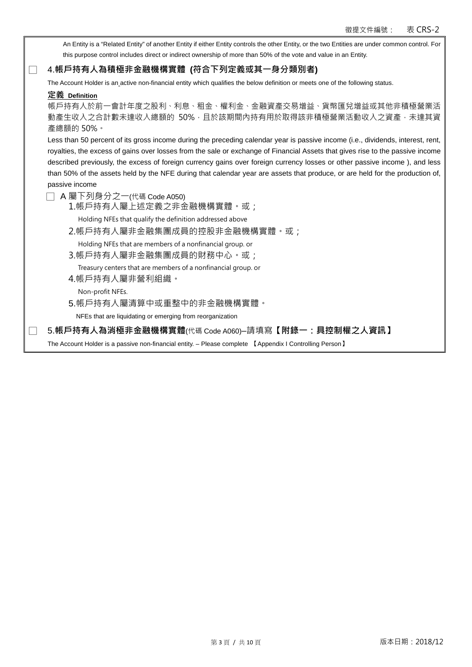An Entity is a "Related Entity" of another Entity if either Entity controls the other Entity, or the two Entities are under common control. For this purpose control includes direct or indirect ownership of more than 50% of the vote and value in an Entity.

## □ 4.**帳戶持有人為積極非金融機構實體 (符合下列定義或其一身分類別者)**

The Account Holder is an active non-financial entity which qualifies the below definition or meets one of the following status.

#### **定義 Definition**

帳戶持有人於前一會計年度之股利、利息、租金、權利金、金融資產交易增益、貨幣匯兌增益或其他非積極營業活 動產生收入之合計數未達收入總額的 50%,且於該期間內持有用於取得該非積極營業活動收入之資產,未達其資 產總額的 50%。

Less than 50 percent of its gross income during the preceding calendar year is passive income (i.e., dividends, interest, rent, royalties, the excess of gains over losses from the sale or exchange of Financial Assets that gives rise to the passive income described previously, the excess of foreign currency gains over foreign currency losses or other passive income ), and less than 50% of the assets held by the NFE during that calendar year are assets that produce, or are held for the production of, passive income

- □ A 屬下列身分之一(代碼 Code A050)
	- 1.帳戶持有人屬上述定義之非金融機構實體。或;
	- Holding NFEs that qualify the definition addressed above
	- 2.帳戶持有人屬非金融集團成員的控股非金融機構實體。或;

Holding NFEs that are members of a nonfinancial group. or

3.帳戶持有人屬非金融集團成員的財務中心。或;

Treasury centers that are members of a nonfinancial group. or

- 4.帳戶持有人屬非營利組織。
	- Non-profit NFEs.
- 5.帳戶持有人屬清算中或重整中的非金融機構實體。

NFEs that are liquidating or emerging from reorganization

□ 5.**帳戶持有人為消極非金融機構實體**(代碼 Code A060)–請填寫**【附錄一:具控制權之人資訊】**

The Account Holder is a passive non-financial entity. – Please complete 【Appendix I Controlling Person】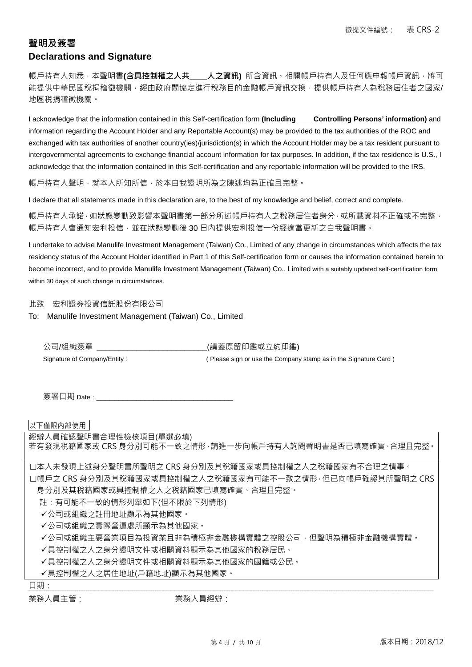## **聲明及簽署 Declarations and Signature**

帳戶持有人知悉,本聲明書**(含具控制權之人共\_\_\_\_人之資訊)** 所含資訊、相關帳戶持有人及任何應申報帳戶資訊,將可 能提供中華民國稅捐稽徵機關,經由政府間協定進行稅務目的金融帳戶資訊交換,提供帳戶持有人為稅務居住者之國家/ 地區稅捐稽徵機關。

I acknowledge that the information contained in this Self-certification form **(Including\_\_\_\_ Controlling Persons' information)** and information regarding the Account Holder and any Reportable Account(s) may be provided to the tax authorities of the ROC and exchanged with tax authorities of another country(ies)/jurisdiction(s) in which the Account Holder may be a tax resident pursuant to intergovernmental agreements to exchange financial account information for tax purposes. In addition, if the tax residence is U.S., I acknowledge that the information contained in this Self-certification and any reportable information will be provided to the IRS.

帳戶持有人聲明,就本人所知所信,於本自我證明所為之陳述均為正確且完整。

I declare that all statements made in this declaration are, to the best of my knowledge and belief, correct and complete.

帳戶持有人承諾,如狀態變動致影響本聲明書第一部分所述帳戶持有人之稅務居住者身分,或所載資料不正確或不完整, 帳戶持有人會通知宏利投信,並在狀態變動後 30 日內提供宏利投信一份經適當更新之自我聲明書。

I undertake to advise Manulife Investment Management (Taiwan) Co., Limited of any change in circumstances which affects the tax residency status of the Account Holder identified in Part 1 of this Self-certification form or causes the information contained herein to become incorrect, and to provide Manulife Investment Management (Taiwan) Co., Limited with a suitably updated self-certification form within 30 days of such change in circumstances.

此致 宏利證券投資信託股份有限公司

To: Manulife Investment Management (Taiwan) Co., Limited

公司/組織簽章 \_\_\_\_\_\_\_\_\_\_\_\_\_\_\_\_\_\_\_\_\_\_\_\_\_\_\_\_\_\_(請蓋原留印鑑或立約印鑑) Signature of Company/Entity: ( Please sign or use the Company stamp as in the Signature Card )

簽署日期 Date : \_\_\_\_\_\_\_\_\_\_\_\_\_\_

以下僅限內部使用

經辦人員確認聲明書合理性檢核項目(單選必填)

若有發現稅籍國家或 CRS 身分別可能不一致之情形,請進一步向帳戶持有人詢問聲明書是否已填寫確實、合理且完整。

本人未發現上述身分聲明書所聲明之 CRS 身分別及其稅籍國家或具控制權之人之稅籍國家有不合理之情事。 帳戶之 CRS 身分別及其稅籍國家或具控制權之人之稅籍國家有可能不一致之情形,但已向帳戶確認其所聲明之 CRS 身分別及其稅籍國家或具控制權之人之稅籍國家已填寫確實、合理且完整。

註:有可能不一致的情形列舉如下(但不限於下列情形)

公司或組織之註冊地址顯示為其他國家。

公司或組織之實際營運處所顯示為其他國家。

公司或組織主要營業項目為投資業且非為積極非金融機構實體之控股公司,但聲明為積極非金融機構實體。

具控制權之人之身分證明文件或相關資料顯示為其他國家的稅務居民。

具控制權之人之身分證明文件或相關資料顯示為其他國家的國籍或公民。

具控制權之人之居住地址(戶籍地址)顯示為其他國家。

日期:

業務人員主管: 業務人員經辦: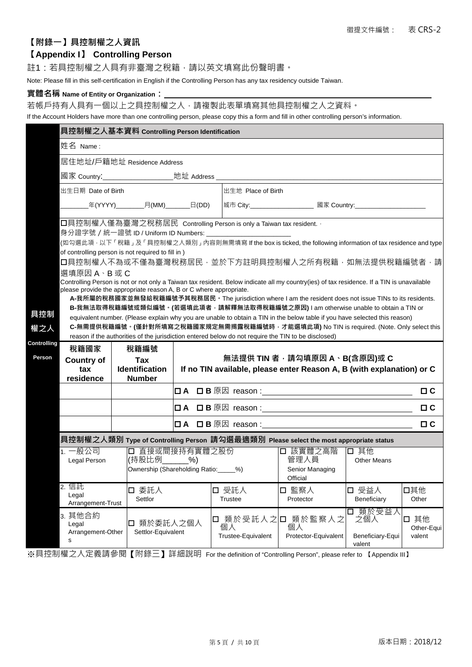## **【附錄一】具控制權之人資訊**

## **【Appendix I】 Controlling Person**

註1:若具控制權之人具有非臺灣之稅籍,請以英文填寫此份聲明書。

Note: Please fill in this self-certification in English if the Controlling Person has any tax residency outside Taiwan.

### **實體名稱 Name of Entity or Organization:**

若帳戶持有人具有一個以上之具控制權之人,請複製此表單填寫其他具控制權之人之資料。

If the Account Holders have more than one controlling person, please copy this a form and fill in other controlling person's information.

|             | 具控制權之人基本資料 Controlling Person Identification                                                                                                                                                                                                                                                           |                             |                                                        |                         |                                                                                                     |                                                                                                                    |                                            |                              |  |  |  |
|-------------|--------------------------------------------------------------------------------------------------------------------------------------------------------------------------------------------------------------------------------------------------------------------------------------------------------|-----------------------------|--------------------------------------------------------|-------------------------|-----------------------------------------------------------------------------------------------------|--------------------------------------------------------------------------------------------------------------------|--------------------------------------------|------------------------------|--|--|--|
|             | 姓名 Name:                                                                                                                                                                                                                                                                                               |                             |                                                        |                         |                                                                                                     |                                                                                                                    |                                            |                              |  |  |  |
|             |                                                                                                                                                                                                                                                                                                        | 居住地址/戶籍地址 Residence Address |                                                        |                         |                                                                                                     |                                                                                                                    |                                            |                              |  |  |  |
|             |                                                                                                                                                                                                                                                                                                        |                             |                                                        |                         |                                                                                                     |                                                                                                                    |                                            |                              |  |  |  |
|             | 出生日期 Date of Birth                                                                                                                                                                                                                                                                                     |                             |                                                        | 出生地 Place of Birth      |                                                                                                     |                                                                                                                    |                                            |                              |  |  |  |
|             |                                                                                                                                                                                                                                                                                                        |                             |                                                        |                         |                                                                                                     | _年(YYYY)_________月(MM)________日(DD) <mark> 城市 City:______________________國家 Country:____________________</mark> __ |                                            |                              |  |  |  |
|             | □具控制權人僅為臺灣之稅務居民 Controlling Person is only a Taiwan tax resident.<br>身分證字號 / 統一證號 ID / Uniform ID Numbers: _______________________<br>(如勾選此項 · 以下「稅籍」及「具控制權之人類別」內容則無需填寫 If the box is ticked, the following information of tax residence and type<br>of controlling person is not required to fill in) |                             |                                                        |                         |                                                                                                     |                                                                                                                    |                                            |                              |  |  |  |
|             | 口具控制權人不為或不僅為臺灣稅務居民‧並於下方註明具控制權人之所有稅籍‧如無法提供稅籍編號者‧請                                                                                                                                                                                                                                                       |                             |                                                        |                         |                                                                                                     |                                                                                                                    |                                            |                              |  |  |  |
|             | 選填原因 A、B 或 C                                                                                                                                                                                                                                                                                           |                             |                                                        |                         |                                                                                                     |                                                                                                                    |                                            |                              |  |  |  |
|             | Controlling Person is not or not only a Taiwan tax resident. Below indicate all my country(ies) of tax residence. If a TIN is unavailable<br>please provide the appropriate reason A, B or C where appropriate.                                                                                        |                             |                                                        |                         |                                                                                                     |                                                                                                                    |                                            |                              |  |  |  |
|             | A-我所屬的稅務國家並無發給稅籍編號予其稅務居民。The jurisdiction where I am the resident does not issue TINs to its residents.                                                                                                                                                                                                |                             |                                                        |                         |                                                                                                     |                                                                                                                    |                                            |                              |  |  |  |
| 具控制         | B-我無法取得稅籍編號或類似編號。(若選填此項者,請解釋無法取得稅籍編號之原因) I am otherwise unable to obtain a TIN or<br>equivalent number. (Please explain why you are unable to obtain a TIN in the below table if you have selected this reason)                                                                                        |                             |                                                        |                         |                                                                                                     |                                                                                                                    |                                            |                              |  |  |  |
| 權之人         |                                                                                                                                                                                                                                                                                                        |                             |                                                        |                         |                                                                                                     | C-無需提供稅籍編號。(僅針對所填寫之稅籍國家規定無需揭露稅籍編號時,才能選填此項) No TIN is required. (Note. Only select this                             |                                            |                              |  |  |  |
| Controlling |                                                                                                                                                                                                                                                                                                        |                             |                                                        |                         | reason if the authorities of the jurisdiction entered below do not require the TIN to be disclosed) |                                                                                                                    |                                            |                              |  |  |  |
|             | 稅籍國家                                                                                                                                                                                                                                                                                                   |                             | 稅籍編號                                                   |                         |                                                                                                     |                                                                                                                    |                                            |                              |  |  |  |
| Person      | <b>Country of</b>                                                                                                                                                                                                                                                                                      | Tax                         |                                                        |                         | 無法提供 TIN 者,請勾填原因 A、B(含原因)或 C                                                                        |                                                                                                                    |                                            |                              |  |  |  |
|             | <b>Identification</b><br>If no TIN available, please enter Reason A, B (with explanation) or C<br>tax<br>residence<br><b>Number</b>                                                                                                                                                                    |                             |                                                        |                         |                                                                                                     |                                                                                                                    |                                            |                              |  |  |  |
|             |                                                                                                                                                                                                                                                                                                        |                             |                                                        |                         |                                                                                                     |                                                                                                                    |                                            | $\Box$ $C$                   |  |  |  |
|             |                                                                                                                                                                                                                                                                                                        |                             |                                                        |                         |                                                                                                     |                                                                                                                    |                                            | $\Box$ $C$                   |  |  |  |
|             |                                                                                                                                                                                                                                                                                                        |                             |                                                        |                         |                                                                                                     |                                                                                                                    |                                            |                              |  |  |  |
|             | 具控制權之人類別 Type of Controlling Person 請勾選最適類別 Please select the most appropriate status                                                                                                                                                                                                                  |                             |                                                        |                         |                                                                                                     |                                                                                                                    |                                            |                              |  |  |  |
|             | 1. 一般公司<br>(持股比例 %)<br>Legal Person                                                                                                                                                                                                                                                                    |                             | □ 直接或間接持有實體之股份<br>Ownership (Shareholding Ratio:____%) |                         | □ 該實體之高階<br>管理人員<br>Senior Managing<br>Official                                                     | 口 其他<br><b>Other Means</b>                                                                                         |                                            |                              |  |  |  |
|             | 2. 信託<br>口 委託人<br>Legal<br>Settlor<br>Arrangement-Trust                                                                                                                                                                                                                                                |                             |                                                        | □ 受託人<br><b>Trustee</b> | □ 監察人<br>Protector                                                                                  | 口 受益人<br>Beneficiary                                                                                               | 口其他<br>Other                               |                              |  |  |  |
|             | 3. 其他合約<br>Legal<br>Arrangement-Other<br>s                                                                                                                                                                                                                                                             |                             | 類於委託人之個人<br>Settlor-Equivalent                         |                         | □ 類於受託人之口<br>個人<br>Trustee-Equivalent                                                               | 類於監察人之<br>個人<br>Protector-Equivalent                                                                               | 類於受益人<br>之個人<br>Beneficiary-Equi<br>valent | 口 其他<br>Other-Equi<br>valent |  |  |  |
|             | ※具控制權之人定義請參閱【附錄三】詳細說明  For the definition of "Controlling Person", please refer to 【Appendix Ⅲ】                                                                                                                                                                                                        |                             |                                                        |                         |                                                                                                     |                                                                                                                    |                                            |                              |  |  |  |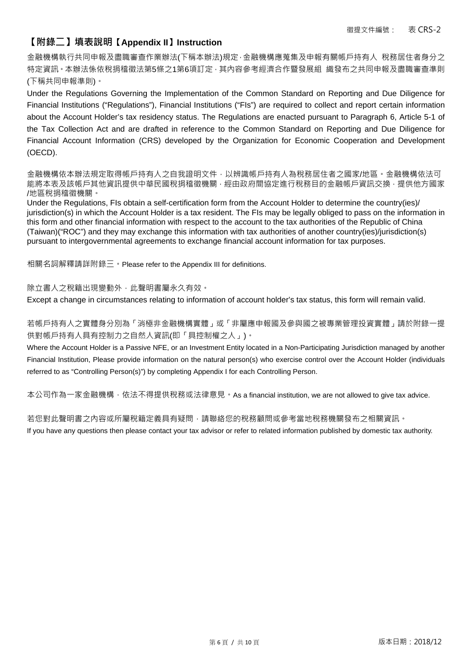## **【附錄二】填表說明【Appendix II】Instruction**

金融機構執行共同申報及盡職審查作業辦法(下稱本辦法)規定,金融機構應蒐集及申報有關帳戶持有人 稅務居住者身分之 特定資訊。本辦法係依稅捐稽徵法第5條之1第6項訂定,其內容參考經濟合作暨發展組 織發布之共同申報及盡職審查準則 (下稱共同申報準則)。

Under the Regulations Governing the Implementation of the Common Standard on Reporting and Due Diligence for Financial Institutions ("Regulations"), Financial Institutions ("FIs") are required to collect and report certain information about the Account Holder's tax residency status. The Regulations are enacted pursuant to Paragraph 6, Article 5-1 of the Tax Collection Act and are drafted in reference to the Common Standard on Reporting and Due Diligence for Financial Account Information (CRS) developed by the Organization for Economic Cooperation and Development (OECD).

金融機構依本辦法規定取得帳戶持有人之自我證明文件,以辨識帳戶持有人為稅務居住者之國家/地區。金融機構依法可 能將本表及該帳戶其他資訊提供中華民國稅捐稽徵機關,經由政府間協定進行稅務目的金融帳戶資訊交換,提供他方國家 /地區稅捐稽徵機關。

Under the Regulations, FIs obtain a self-certification form from the Account Holder to determine the country(ies)/ jurisdiction(s) in which the Account Holder is a tax resident. The FIs may be legally obliged to pass on the information in this form and other financial information with respect to the account to the tax authorities of the Republic of China (Taiwan)("ROC") and they may exchange this information with tax authorities of another country(ies)/jurisdiction(s) pursuant to intergovernmental agreements to exchange financial account information for tax purposes.

相關名詞解釋請詳附錄三。Please refer to the Appendix III for definitions.

除立書人之稅籍出現變動外,此聲明書屬永久有效。

Except a change in circumstances relating to information of account holder's tax status, this form will remain valid.

若帳戶持有人之實體身分別為「消極非金融機構實體」或「非屬應申報國及參與國之被專業管理投資實體」請於附錄一提 供對帳戶持有人具有控制力之自然人資訊(即「具控制權之人」)。

Where the Account Holder is a Passive NFE, or an Investment Entity located in a Non-Participating Jurisdiction managed by another Financial Institution, Please provide information on the natural person(s) who exercise control over the Account Holder (individuals referred to as "Controlling Person(s)") by completing Appendix I for each Controlling Person.

本公司作為一家金融機構,依法不得提供稅務或法律意見。As a financial institution, we are not allowed to give tax advice.

若您對此聲明書之內容或所屬稅籍定義具有疑問,請聯絡您的稅務顧問或參考當地稅務機關發布之相關資訊。

If you have any questions then please contact your tax advisor or refer to related information published by domestic tax authority.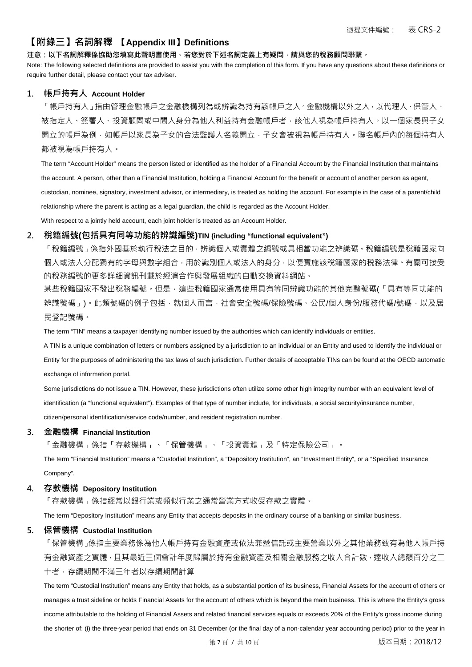## **【附錄三】名詞解釋 【Appendix III】Definitions**

#### **注意:以下名詞解釋係協助您填寫此聲明書使用。若您對於下述名詞定義上有疑問,請與您的稅務顧問聯繫。**

Note: The following selected definitions are provided to assist you with the completion of this form. If you have any questions about these definitions or require further detail, please contact your tax adviser.

#### **1. 帳戶持有人 Account Holder**

「帳戶持有人」指由管理金融帳戶之金融機構列為或辨識為持有該帳戶之人。金融機構以外之人,以代理人、保管人、 被指定人、簽署人、投資顧問或中間人身分為他人利益持有金融帳戶者,該他人視為帳戶持有人。以一個家長與子女 開立的帳戶為例,如帳戶以家長為子女的合法監護人名義開立,子女會被視為帳戶持有人。聯名帳戶內的每個持有人 都被視為帳戶持有人。

The term "Account Holder" means the person listed or identified as the holder of a Financial Account by the Financial Institution that maintains the account. A person, other than a Financial Institution, holding a Financial Account for the benefit or account of another person as agent, custodian, nominee, signatory, investment advisor, or intermediary, is treated as holding the account. For example in the case of a parent/child relationship where the parent is acting as a legal guardian, the child is regarded as the Account Holder. With respect to a jointly held account, each joint holder is treated as an Account Holder.

**2. 稅籍編號(包括具有同等功能的辨識編號)TIN (including "functional equivalent")** 

「稅籍編號,係指外國基於執行稅法之目的,辨識個人或實體之編號或具相當功能之辨識碼。稅籍編號是稅籍國家向 個人或法人分配獨有的字母與數字組合,用於識別個人或法人的身分,以便實施該稅籍國家的稅務法律。有關可接受 的稅務編號的更多詳細資訊刊載於經濟合作與發展組織的自動交換資料網站。

某些稅籍國家不發出稅務編號。但是,這些稅籍國家通常使用具有等同辨識功能的其他完整號碼(「具有等同功能的 辨識號碼」)。此類號碼的例子包括,就個人而言,社會安全號碼/保險號碼、公民/個人身份/服務代碼/號碼,以及居 民登記號碼。

The term "TIN" means a taxpayer identifying number issued by the authorities which can identify individuals or entities.

A TIN is a unique combination of letters or numbers assigned by a jurisdiction to an individual or an Entity and used to identify the individual or Entity for the purposes of administering the tax laws of such jurisdiction. Further details of acceptable TINs can be found at the OECD automatic exchange of information portal.

Some jurisdictions do not issue a TIN. However, these jurisdictions often utilize some other high integrity number with an equivalent level of identification (a "functional equivalent"). Examples of that type of number include, for individuals, a social security/insurance number, citizen/personal identification/service code/number, and resident registration number.

#### **3. 金融機構 Financial Institution**

「金融機構」係指「存款機構」、「保管機構」、「投資實體」及「特定保險公司」。

The term "Financial Institution" means a "Custodial Institution", a "Depository Institution", an "Investment Entity", or a "Specified Insurance Company".

#### **4. 存款機構 Depository Institution**

「存款機構」係指經常以銀行業或類似行業之通常營業方式收受存款之實體。

The term "Depository Institution" means any Entity that accepts deposits in the ordinary course of a banking or similar business.

#### **5. 保管機構 Custodial Institution**

「保管機構」係指主要業務係為他人帳戶持有金融資產或依法兼營信託或主要營業以外之其他業務致有為他人帳戶持 有金融資產之實體,且其最近三個會計年度歸屬於持有金融資產及相關金融服務之收入合計數,達收入總額百分之二 十者,存續期間不滿三年者以存續期間計算

The term "Custodial Institution" means any Entity that holds, as a substantial portion of its business, Financial Assets for the account of others or manages a trust sideline or holds Financial Assets for the account of others which is beyond the main business. This is where the Entity's gross income attributable to the holding of Financial Assets and related financial services equals or exceeds 20% of the Entity's gross income during the shorter of: (i) the three-year period that ends on 31 December (or the final day of a non-calendar year accounting period) prior to the year in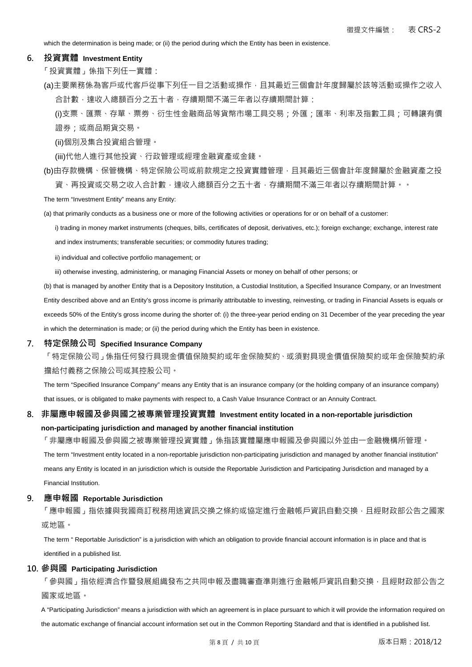which the determination is being made; or (ii) the period during which the Entity has been in existence.

#### **6. 投資實體 Investment Entity**

「投資實體」係指下列任一實體:

(a)主要業務係為客戶或代客戶從事下列任一目之活動或操作,且其最近三個會計年度歸屬於該等活動或操作之收入 合計數,達收入總額百分之五十者,存續期間不滿三年者以存續期間計算:

(i)支票、匯票、存單、票劵、衍生性金融商品等貨幣市場工具交易;外匯;匯率、利率及指數工具;可轉讓有價 證券;或商品期貨交易。

(ii)個別及集合投資組合管理。

(iii)代他人進行其他投資、行政管理或經理金融資產或金錢。

(b)由存款機構、保管機構、特定保險公司或前款規定之投資實體管理,且其最近三個會計年度歸屬於金融資產之投 資、再投資或交易之收入合計數,達收入總額百分之五十者,存續期間不滿三年者以存續期間計算。。

The term "Investment Entity" means any Entity:

(a) that primarily conducts as a business one or more of the following activities or operations for or on behalf of a customer:

i) trading in money market instruments (cheques, bills, certificates of deposit, derivatives, etc.); foreign exchange; exchange, interest rate and index instruments; transferable securities; or commodity futures trading;

ii) individual and collective portfolio management; or

iii) otherwise investing, administering, or managing Financial Assets or money on behalf of other persons; or

(b) that is managed by another Entity that is a Depository Institution, a Custodial Institution, a Specified Insurance Company, or an Investment Entity described above and an Entity's gross income is primarily attributable to investing, reinvesting, or trading in Financial Assets is equals or exceeds 50% of the Entity's gross income during the shorter of: (i) the three-year period ending on 31 December of the year preceding the year in which the determination is made; or (ii) the period during which the Entity has been in existence.

#### **7. 特定保險公司 Specified Insurance Company**

「特定保險公司」係指任何發行具現金價值保險契約或年金保險契約、或須對具現金價值保險契約或年金保險契約承 擔給付義務之保險公司或其控股公司。

The term "Specified Insurance Company" means any Entity that is an insurance company (or the holding company of an insurance company) that issues, or is obligated to make payments with respect to, a Cash Value Insurance Contract or an Annuity Contract.

## **8. 非屬應申報國及參與國之被專業管理投資實體 Investment entity located in a non-reportable jurisdiction**

**non-participating jurisdiction and managed by another financial institution** 

「非屬應申報國及參與國之被專業管理投資實體」係指該實體屬應申報國及參與國以外並由一金融機構所管理。 The term "Investment entity located in a non-reportable jurisdiction non-participating jurisdiction and managed by another financial institution" means any Entity is located in an jurisdiction which is outside the Reportable Jurisdiction and Participating Jurisdiction and managed by a Financial Institution.

#### **9. 應申報國 Reportable Jurisdiction**

「應申報國」指依據與我國商訂稅務用途資訊交換之條約或協定進行金融帳戶資訊自動交換,且經財政部公告之國家 或地區。

The term " Reportable Jurisdiction" is a jurisdiction with which an obligation to provide financial account information is in place and that is identified in a published list.

#### **10. 參與國 Participating Jurisdiction**

「參與國」指依經濟合作暨發展組織發布之共同申報及盡職審查準則進行金融帳戶資訊自動交換,且經財政部公告之 國家或地區。

A "Participating Jurisdiction" means a jurisdiction with which an agreement is in place pursuant to which it will provide the information required on the automatic exchange of financial account information set out in the Common Reporting Standard and that is identified in a published list.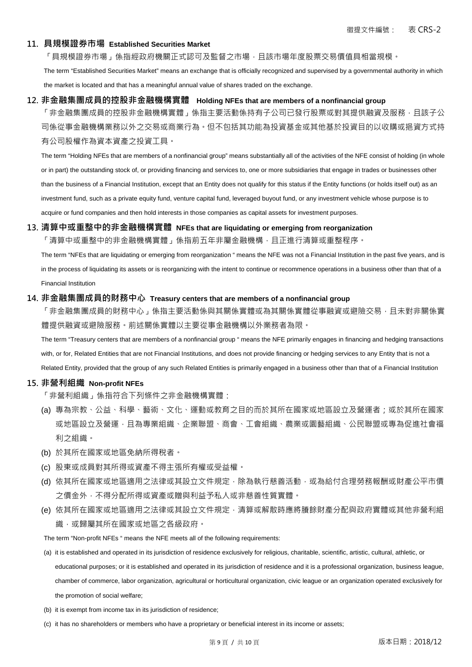#### **11. 具規模證券市場 Established Securities Market**

「具規模證券市場」係指經政府機關正式認可及監督之市場,且該市場年度股票交易價值具相當規模。

The term "Established Securities Market" means an exchange that is officially recognized and supervised by a governmental authority in which the market is located and that has a meaningful annual value of shares traded on the exchange.

#### **12. 非金融集團成員的控股非金融機構實體 Holding NFEs that are members of a nonfinancial group**

「非金融集團成員的控股非金融機構實體」係指主要活動係持有子公司已發行股票或對其提供融資及服務,且該子公 司係從事金融機構業務以外之交易或商業行為。但不包括其功能為投資基金或其他基於投資目的以收購或挹資方式持 有公司股權作為資本資產之投資工具。

The term "Holding NFEs that are members of a nonfinancial group" means substantially all of the activities of the NFE consist of holding (in whole or in part) the outstanding stock of, or providing financing and services to, one or more subsidiaries that engage in trades or businesses other than the business of a Financial Institution, except that an Entity does not qualify for this status if the Entity functions (or holds itself out) as an investment fund, such as a private equity fund, venture capital fund, leveraged buyout fund, or any investment vehicle whose purpose is to acquire or fund companies and then hold interests in those companies as capital assets for investment purposes.

### **13. 清算中或重整中的非金融機構實體 NFEs that are liquidating or emerging from reorganization**

「清算中或重整中的非金融機構實體」係指前五年非屬金融機構,且正進行清算或重整程序。

The term "NFEs that are liquidating or emerging from reorganization " means the NFE was not a Financial Institution in the past five years, and is in the process of liquidating its assets or is reorganizing with the intent to continue or recommence operations in a business other than that of a Financial Institution

### **14. 非金融集團成員的財務中心 Treasury centers that are members of a nonfinancial group**

「非金融集團成員的財務中心」係指主要活動係與其關係實體或為其關係實體從事融資或避險交易,且未對非關係實 體提供融資或避險服務。前述關係實體以主要從事金融機構以外業務者為限。

The term "Treasury centers that are members of a nonfinancial group " means the NFE primarily engages in financing and hedging transactions with, or for, Related Entities that are not Financial Institutions, and does not provide financing or hedging services to any Entity that is not a Related Entity, provided that the group of any such Related Entities is primarily engaged in a business other than that of a Financial Institution

#### **15. 非營利組織 Non-profit NFEs**

「非營利組織」係指符合下列條件之非金融機構實體:

- (a) 專為宗教、公益、科學、藝術、文化、運動或教育之目的而於其所在國家或地區設立及營運者;或於其所在國家 或地區設立及營運,且為專業組織、企業聯盟、商會、工會組織、農業或園藝組織、公民聯盟或專為促進社會福 利之組織。
- (b) 於其所在國家或地區免納所得稅者。
- (c) 股東或成員對其所得或資產不得主張所有權或受益權。
- (d) 依其所在國家或地區適用之法律或其設立文件規定,除為執行慈善活動,或為給付合理勞務報酬或財產公平市價 之價金外,不得分配所得或資產或贈與利益予私人或非慈善性質實體。
- (e) 依其所在國家或地區適用之法律或其設立文件規定,清算或解散時應將賸餘財產分配與政府實體或其他非營利組 織,或歸屬其所在國家或地區之各級政府。

The term "Non-profit NFEs " means the NFE meets all of the following requirements:

- (a) it is established and operated in its jurisdiction of residence exclusively for religious, charitable, scientific, artistic, cultural, athletic, or educational purposes; or it is established and operated in its jurisdiction of residence and it is a professional organization, business league, chamber of commerce, labor organization, agricultural or horticultural organization, civic league or an organization operated exclusively for the promotion of social welfare;
- (b) it is exempt from income tax in its jurisdiction of residence;
- (c) it has no shareholders or members who have a proprietary or beneficial interest in its income or assets;